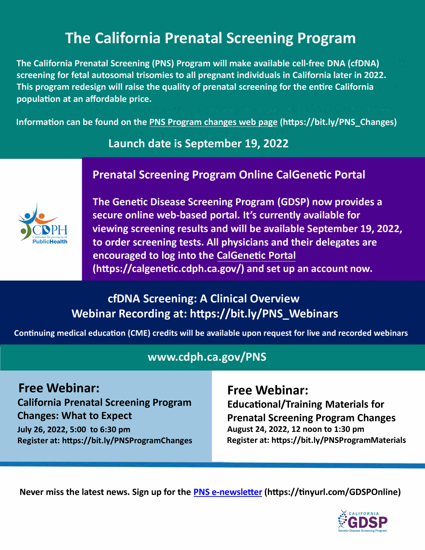# **The California Prenatal Screening Program**

**The California Prenatal Screening (PNS) Program will make available cell-free DNA (cfDNA) screening for fetal autosomal trisomies to all pregnant individuals in California later in 2022. This program redesign will raise the quality of prenatal screening for the entire California population at an affordable price.** 

**Information can be found on the [PNS Program changes web page](https://www.cdph.ca.gov/Programs/CFH/DGDS/Pages/pns/PNS-Program-Changes.aspx) (https://bit.ly/PNS\_Changes)** 

## **Launch date is September 19, 2022**

## **Prenatal Screening Program Online CalGenetic Portal**



**The Genetic Disease Screening Program (GDSP) now provides a secure online web-based portal. It's currently available for viewing screening results and will be available September 19, 2022, to order screening tests. All physicians and their delegates are encouraged to log into the [CalGenetic](https://calgenetic.cdph.ca.gov/content/gdsp/en/my-account/homepage.html) Portal [\(https://calgenetic.cdph.ca.gov/\)](https://calgenetic.cdph.ca.gov/content/gdsp/en/my-account/homepage.html) and set up an account now.** 

## **cfDNA Screening: A Clinical Overview Webinar Recording at: [https://bit.ly/PNS\\_Webinars](https://www.cdph.ca.gov/Programs/CFH/DGDS/Pages/pns/PNS_Webinars.aspx)**

**Continuing medical education (CME) credits will be available upon request for live and recorded webinars** 

## **<www.cdph.ca.gov/PNS>**

**Free Webinar: California Prenatal Screening Program Changes: What to Expect** 

**July 26, 2022, 5:00 to 6:30 pm [Register at: https://bit.ly/PNSProgramChanges](https://cdph-ca-gov.zoom.us/webinar/register/WN_NcFK1MpQT3aw71kQzUIgfw)**  **Free Webinar: Educational/Training Materials for Prenatal Screening Program Changes August 24, 2022, 12 noon to 1:30 pm Register at: [https://bit.ly/PNSProgramMaterials](https://cdph-ca-gov.zoom.us/webinar/register/WN_AjXy26BaT3a8bhApnpGndQ)** 

**Never miss the latest news. Sign up for t[he PNS e-newsletter](https://cdph-marketing.powerappsportals.com/GDSP/registrationform/) [\(https://tinyurl.com/GDSPOnline](https://tinyurl.com/GDSPOnline))**